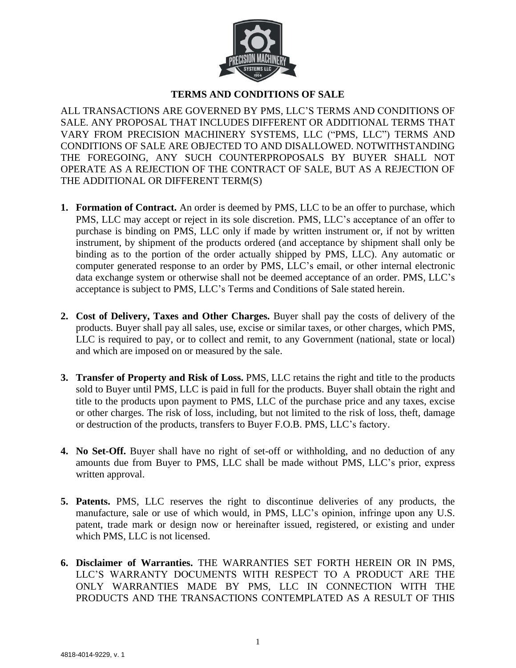

## **TERMS AND CONDITIONS OF SALE**

ALL TRANSACTIONS ARE GOVERNED BY PMS, LLC'S TERMS AND CONDITIONS OF SALE. ANY PROPOSAL THAT INCLUDES DIFFERENT OR ADDITIONAL TERMS THAT VARY FROM PRECISION MACHINERY SYSTEMS, LLC ("PMS, LLC") TERMS AND CONDITIONS OF SALE ARE OBJECTED TO AND DISALLOWED. NOTWITHSTANDING THE FOREGOING, ANY SUCH COUNTERPROPOSALS BY BUYER SHALL NOT OPERATE AS A REJECTION OF THE CONTRACT OF SALE, BUT AS A REJECTION OF THE ADDITIONAL OR DIFFERENT TERM(S)

- **1. Formation of Contract.** An order is deemed by PMS, LLC to be an offer to purchase, which PMS, LLC may accept or reject in its sole discretion. PMS, LLC's acceptance of an offer to purchase is binding on PMS, LLC only if made by written instrument or, if not by written instrument, by shipment of the products ordered (and acceptance by shipment shall only be binding as to the portion of the order actually shipped by PMS, LLC). Any automatic or computer generated response to an order by PMS, LLC's email, or other internal electronic data exchange system or otherwise shall not be deemed acceptance of an order. PMS, LLC's acceptance is subject to PMS, LLC's Terms and Conditions of Sale stated herein.
- **2. Cost of Delivery, Taxes and Other Charges.** Buyer shall pay the costs of delivery of the products. Buyer shall pay all sales, use, excise or similar taxes, or other charges, which PMS, LLC is required to pay, or to collect and remit, to any Government (national, state or local) and which are imposed on or measured by the sale.
- **3. Transfer of Property and Risk of Loss.** PMS, LLC retains the right and title to the products sold to Buyer until PMS, LLC is paid in full for the products. Buyer shall obtain the right and title to the products upon payment to PMS, LLC of the purchase price and any taxes, excise or other charges. The risk of loss, including, but not limited to the risk of loss, theft, damage or destruction of the products, transfers to Buyer F.O.B. PMS, LLC's factory.
- **4. No Set-Off.** Buyer shall have no right of set-off or withholding, and no deduction of any amounts due from Buyer to PMS, LLC shall be made without PMS, LLC's prior, express written approval.
- **5. Patents.** PMS, LLC reserves the right to discontinue deliveries of any products, the manufacture, sale or use of which would, in PMS, LLC's opinion, infringe upon any U.S. patent, trade mark or design now or hereinafter issued, registered, or existing and under which PMS, LLC is not licensed.
- **6. Disclaimer of Warranties.** THE WARRANTIES SET FORTH HEREIN OR IN PMS, LLC'S WARRANTY DOCUMENTS WITH RESPECT TO A PRODUCT ARE THE ONLY WARRANTIES MADE BY PMS, LLC IN CONNECTION WITH THE PRODUCTS AND THE TRANSACTIONS CONTEMPLATED AS A RESULT OF THIS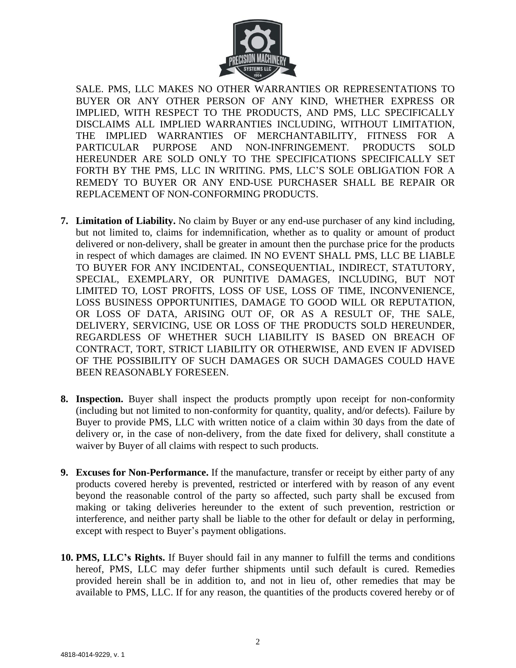

SALE. PMS, LLC MAKES NO OTHER WARRANTIES OR REPRESENTATIONS TO BUYER OR ANY OTHER PERSON OF ANY KIND, WHETHER EXPRESS OR IMPLIED, WITH RESPECT TO THE PRODUCTS, AND PMS, LLC SPECIFICALLY DISCLAIMS ALL IMPLIED WARRANTIES INCLUDING, WITHOUT LIMITATION, THE IMPLIED WARRANTIES OF MERCHANTABILITY, FITNESS FOR A PARTICULAR PURPOSE AND NON-INFRINGEMENT. PRODUCTS SOLD HEREUNDER ARE SOLD ONLY TO THE SPECIFICATIONS SPECIFICALLY SET FORTH BY THE PMS, LLC IN WRITING. PMS, LLC'S SOLE OBLIGATION FOR A REMEDY TO BUYER OR ANY END-USE PURCHASER SHALL BE REPAIR OR REPLACEMENT OF NON-CONFORMING PRODUCTS.

- **7. Limitation of Liability.** No claim by Buyer or any end-use purchaser of any kind including, but not limited to, claims for indemnification, whether as to quality or amount of product delivered or non-delivery, shall be greater in amount then the purchase price for the products in respect of which damages are claimed. IN NO EVENT SHALL PMS, LLC BE LIABLE TO BUYER FOR ANY INCIDENTAL, CONSEQUENTIAL, INDIRECT, STATUTORY, SPECIAL, EXEMPLARY, OR PUNITIVE DAMAGES, INCLUDING, BUT NOT LIMITED TO, LOST PROFITS, LOSS OF USE, LOSS OF TIME, INCONVENIENCE, LOSS BUSINESS OPPORTUNITIES, DAMAGE TO GOOD WILL OR REPUTATION, OR LOSS OF DATA, ARISING OUT OF, OR AS A RESULT OF, THE SALE, DELIVERY, SERVICING, USE OR LOSS OF THE PRODUCTS SOLD HEREUNDER, REGARDLESS OF WHETHER SUCH LIABILITY IS BASED ON BREACH OF CONTRACT, TORT, STRICT LIABILITY OR OTHERWISE, AND EVEN IF ADVISED OF THE POSSIBILITY OF SUCH DAMAGES OR SUCH DAMAGES COULD HAVE BEEN REASONABLY FORESEEN.
- **8. Inspection.** Buyer shall inspect the products promptly upon receipt for non-conformity (including but not limited to non-conformity for quantity, quality, and/or defects). Failure by Buyer to provide PMS, LLC with written notice of a claim within 30 days from the date of delivery or, in the case of non-delivery, from the date fixed for delivery, shall constitute a waiver by Buyer of all claims with respect to such products.
- **9. Excuses for Non-Performance.** If the manufacture, transfer or receipt by either party of any products covered hereby is prevented, restricted or interfered with by reason of any event beyond the reasonable control of the party so affected, such party shall be excused from making or taking deliveries hereunder to the extent of such prevention, restriction or interference, and neither party shall be liable to the other for default or delay in performing, except with respect to Buyer's payment obligations.
- **10. PMS, LLC's Rights.** If Buyer should fail in any manner to fulfill the terms and conditions hereof, PMS, LLC may defer further shipments until such default is cured. Remedies provided herein shall be in addition to, and not in lieu of, other remedies that may be available to PMS, LLC. If for any reason, the quantities of the products covered hereby or of